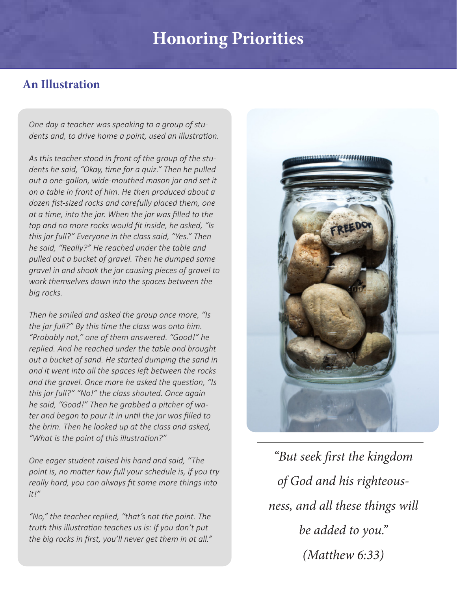# **Honoring Priorities**

## **An Illustration**

*One day a teacher was speaking to a group of students and, to drive home a point, used an illustration.*

*As this teacher stood in front of the group of the students he said, "Okay, time for a quiz." Then he pulled out a one-gallon, wide-mouthed mason jar and set it on a table in front of him. He then produced about a dozen fist-sized rocks and carefully placed them, one at a time, into the jar. When the jar was filled to the top and no more rocks would fit inside, he asked, "Is this jar full?" Everyone in the class said, "Yes." Then he said, "Really?" He reached under the table and pulled out a bucket of gravel. Then he dumped some gravel in and shook the jar causing pieces of gravel to work themselves down into the spaces between the big rocks.*

*Then he smiled and asked the group once more, "Is the jar full?" By this time the class was onto him. "Probably not," one of them answered. "Good!" he replied. And he reached under the table and brought out a bucket of sand. He started dumping the sand in and it went into all the spaces left between the rocks and the gravel. Once more he asked the question, "Is this jar full?" "No!" the class shouted. Once again he said, "Good!" Then he grabbed a pitcher of water and began to pour it in until the jar was filled to the brim. Then he looked up at the class and asked, "What is the point of this illustration?"*

*One eager student raised his hand and said, "The point is, no matter how full your schedule is, if you try really hard, you can always fit some more things into it!"*

*"No," the teacher replied, "that's not the point. The truth this illustration teaches us is: If you don't put the big rocks in first, you'll never get them in at all."*



*"But seek first the kingdom of God and his righteousness, and all these things will be added to you." (Matthew 6:33)*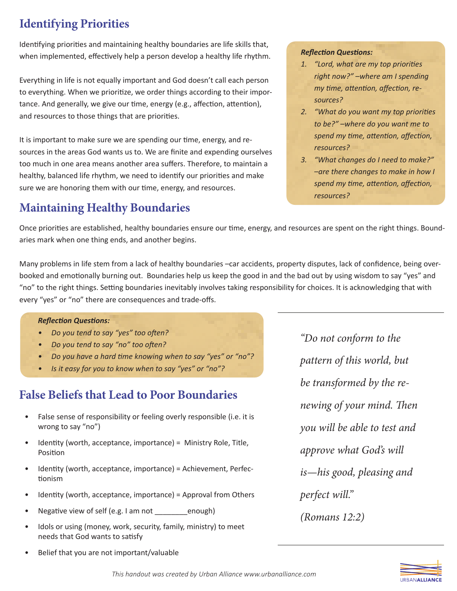# **Identifying Priorities**

Identifying priorities and maintaining healthy boundaries are life skills that, when implemented, effectively help a person develop a healthy life rhythm.

Everything in life is not equally important and God doesn't call each person to everything. When we prioritize, we order things according to their importance. And generally, we give our time, energy (e.g., affection, attention), and resources to those things that are priorities.

It is important to make sure we are spending our time, energy, and resources in the areas God wants us to. We are finite and expending ourselves too much in one area means another area suffers. Therefore, to maintain a healthy, balanced life rhythm, we need to identify our priorities and make sure we are honoring them with our time, energy, and resources.

# **Maintaining Healthy Boundaries**

#### *Reflection Questions:*

- *1. "Lord, what are my top priorities right now?" –where am I spending my time, attention, affection, resources?*
- *2. "What do you want my top priorities to be?" –where do you want me to spend my time, attention, affection, resources?*
- *3. "What changes do I need to make?" –are there changes to make in how I spend my time, attention, affection, resources?*

Once priorities are established, healthy boundaries ensure our time, energy, and resources are spent on the right things. Boundaries mark when one thing ends, and another begins.

Many problems in life stem from a lack of healthy boundaries –car accidents, property disputes, lack of confidence, being overbooked and emotionally burning out. Boundaries help us keep the good in and the bad out by using wisdom to say "yes" and "no" to the right things. Setting boundaries inevitably involves taking responsibility for choices. It is acknowledging that with every "yes" or "no" there are consequences and trade-offs.

#### *Reflection Questions:*

- *• Do you tend to say "yes" too often?*
- *• Do you tend to say "no" too often?*
- *• Do you have a hard time knowing when to say "yes" or "no"?*
- *• Is it easy for you to know when to say "yes" or "no"?*

# **False Beliefs that Lead to Poor Boundaries**

- False sense of responsibility or feeling overly responsible (i.e. it is wrong to say "no")
- Identity (worth, acceptance, importance) = Ministry Role, Title, Position
- Identity (worth, acceptance, importance) = Achievement, Perfectionism
- Identity (worth, acceptance, importance) = Approval from Others
- Negative view of self (e.g. I am not enough)
- Idols or using (money, work, security, family, ministry) to meet needs that God wants to satisfy
- Belief that you are not important/valuable

*"Do not conform to the pattern of this world, but be transformed by the renewing of your mind. Then you will be able to test and approve what God's will is—his good, pleasing and perfect will." (Romans 12:2)*

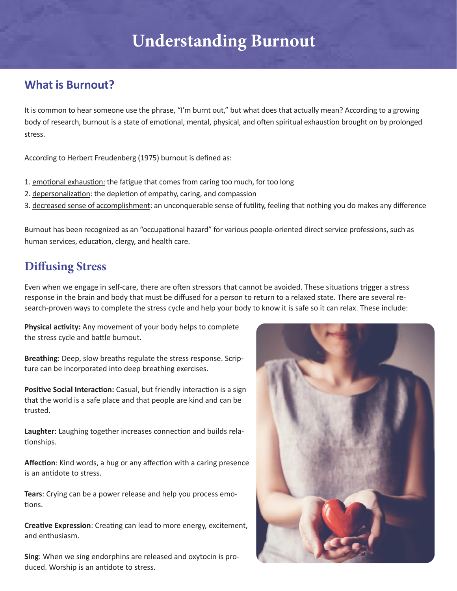# **Understanding Burnout**

### **What is Burnout?**

It is common to hear someone use the phrase, "I'm burnt out," but what does that actually mean? According to a growing body of research, burnout is a state of emotional, mental, physical, and often spiritual exhaustion brought on by prolonged stress.

According to Herbert Freudenberg (1975) burnout is defined as:

- 1. emotional exhaustion: the fatigue that comes from caring too much, for too long
- 2. depersonalization: the depletion of empathy, caring, and compassion
- 3. decreased sense of accomplishment: an unconquerable sense of futility, feeling that nothing you do makes any difference

Burnout has been recognized as an "occupational hazard" for various people‐oriented direct service professions, such as human services, education, clergy, and health care.

### **Diffusing Stress**

Even when we engage in self-care, there are often stressors that cannot be avoided. These situations trigger a stress response in the brain and body that must be diffused for a person to return to a relaxed state. There are several research-proven ways to complete the stress cycle and help your body to know it is safe so it can relax. These include:

**Physical activity:** Any movement of your body helps to complete the stress cycle and battle burnout.

**Breathing**: Deep, slow breaths regulate the stress response. Scripture can be incorporated into deep breathing exercises.

**Positive Social Interaction:** Casual, but friendly interaction is a sign that the world is a safe place and that people are kind and can be trusted.

**Laughter**: Laughing together increases connection and builds relationships.

**Affection**: Kind words, a hug or any affection with a caring presence is an antidote to stress.

**Tears**: Crying can be a power release and help you process emotions.

**Creative Expression**: Creating can lead to more energy, excitement, and enthusiasm.

**Sing**: When we sing endorphins are released and oxytocin is produced. Worship is an antidote to stress.

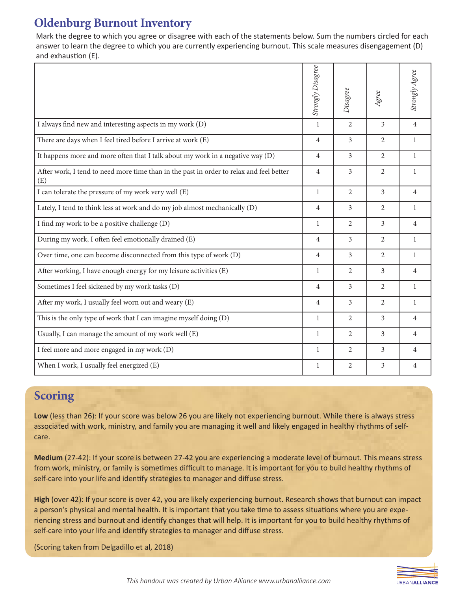## **Oldenburg Burnout Inventory**

Mark the degree to which you agree or disagree with each of the statements below. Sum the numbers circled for each answer to learn the degree to which you are currently experiencing burnout. This scale measures disengagement (D) and exhaustion (E).

|                                                                                                | <b>Strongly Disagree</b> | Disagree       | Agree          | Strongly Agree |
|------------------------------------------------------------------------------------------------|--------------------------|----------------|----------------|----------------|
| I always find new and interesting aspects in my work (D)                                       | $\mathbf{1}$             | $\overline{2}$ | 3              | $\overline{4}$ |
| There are days when I feel tired before I arrive at work (E)                                   | 4                        | 3              | 2              | 1              |
| It happens more and more often that I talk about my work in a negative way (D)                 | 4                        | 3              | 2              | 1              |
| After work, I tend to need more time than in the past in order to relax and feel better<br>(E) | $\overline{4}$           | 3              | $\overline{2}$ | $\mathbf{1}$   |
| I can tolerate the pressure of my work very well (E)                                           | $\mathbf{1}$             | $\overline{2}$ | 3              | $\overline{4}$ |
| Lately, I tend to think less at work and do my job almost mechanically (D)                     | $\overline{4}$           | $\overline{3}$ | 2              | $\mathbf{1}$   |
| I find my work to be a positive challenge (D)                                                  | $\mathbf{1}$             | $\overline{2}$ | 3              | $\overline{4}$ |
| During my work, I often feel emotionally drained (E)                                           | $\overline{4}$           | $\overline{3}$ | 2              | $\mathbf{1}$   |
| Over time, one can become disconnected from this type of work (D)                              | $\overline{4}$           | $\overline{3}$ | $\overline{2}$ | $\mathbf{1}$   |
| After working, I have enough energy for my leisure activities (E)                              | $\mathbf{1}$             | $\overline{2}$ | 3              | $\overline{4}$ |
| Sometimes I feel sickened by my work tasks (D)                                                 | 4                        | 3              | 2              | $\mathbf{1}$   |
| After my work, I usually feel worn out and weary (E)                                           | 4                        | 3              | $\overline{2}$ | 1              |
| This is the only type of work that I can imagine myself doing (D)                              | 1                        | $\overline{2}$ | 3              | $\overline{4}$ |
| Usually, I can manage the amount of my work well (E)                                           | 1                        | $\overline{2}$ | 3              | $\overline{4}$ |
| I feel more and more engaged in my work (D)                                                    | 1                        | 2              | 3              | 4              |
| When I work, I usually feel energized (E)                                                      | 1                        | 2              | 3              | 4              |

### **Scoring**

**Low** (less than 26): If your score was below 26 you are likely not experiencing burnout. While there is always stress associated with work, ministry, and family you are managing it well and likely engaged in healthy rhythms of selfcare.

**Medium** (27-42): If your score is between 27-42 you are experiencing a moderate level of burnout. This means stress from work, ministry, or family is sometimes difficult to manage. It is important for you to build healthy rhythms of self-care into your life and identify strategies to manager and diffuse stress.

**High** (over 42): If your score is over 42, you are likely experiencing burnout. Research shows that burnout can impact a person's physical and mental health. It is important that you take time to assess situations where you are experiencing stress and burnout and identify changes that will help. It is important for you to build healthy rhythms of self-care into your life and identify strategies to manager and diffuse stress.

(Scoring taken from Delgadillo et al, 2018)

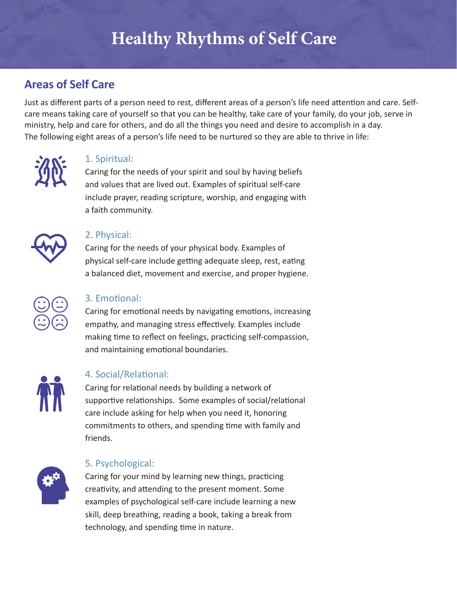# **Healthy Rhythms of Self Care**

## **Areas of Self Care**

Just as different parts of a person need to rest, different areas of a person's life need attention and care. Selfcare means taking care of yourself so that you can be healthy, take care of your family, do your job, serve in ministry, help and care for others, and do all the things you need and desire to accomplish in a day. The following eight areas of a person's life need to be nurtured so they are able to thrive in life:



### 1. Spiritual:

Caring for the needs of your spirit and soul by having beliefs and values that are lived out. Examples of spiritual self-care include prayer, reading scripture, worship, and engaging with a faith community.



#### 2. Physical:

Caring for the needs of your physical body. Examples of physical self-care include getting adequate sleep, rest, eating a balanced diet, movement and exercise, and proper hygiene.



### 3. Emotional:

Caring for emotional needs by navigating emotions, increasing empathy, and managing stress effectively. Examples include making time to reflect on feelings, practicing self-compassion, and maintaining emotional boundaries.



### 4. Social/Relational:

Caring for relational needs by building a network of supportive relationships. Some examples of social/relational care include asking for help when you need it, honoring commitments to others, and spending time with family and friends.



### 5. Psychological:

Caring for your mind by learning new things, practicing creativity, and attending to the present moment. Some examples of psychological self-care include learning a new skill, deep breathing, reading a book, taking a break from technology, and spending time in nature.